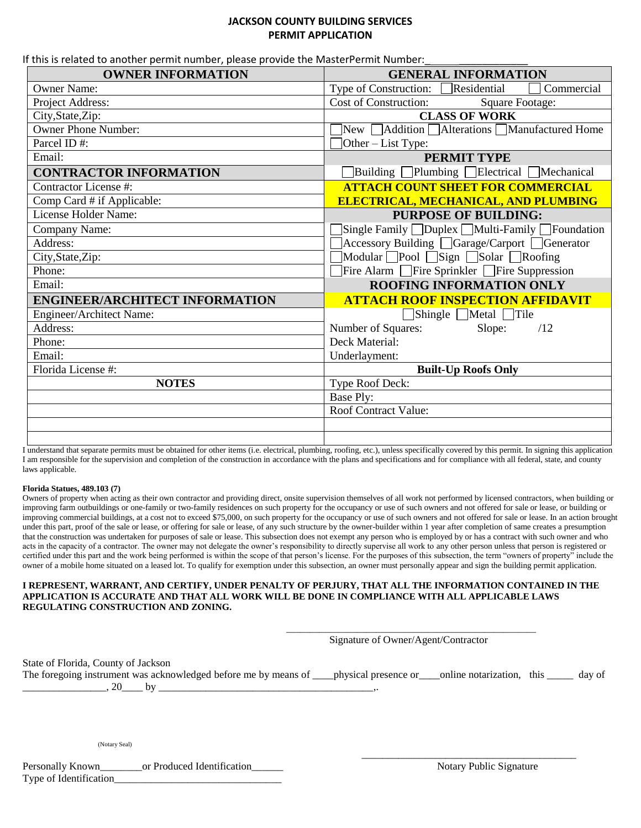## **JACKSON COUNTY BUILDING SERVICES PERMIT APPLICATION**

If this is related to another permit number, please provide the MasterPermit Number:

| <b>OWNER INFORMATION</b>              | <b>GENERAL INFORMATION</b>                                               |
|---------------------------------------|--------------------------------------------------------------------------|
| <b>Owner Name:</b>                    | Type of Construction: Residential<br>Commercial                          |
| Project Address:                      | Cost of Construction:<br><b>Square Footage:</b>                          |
| City, State, Zip:                     | <b>CLASS OF WORK</b>                                                     |
| <b>Owner Phone Number:</b>            | New Addition Alterations Manufactured Home                               |
| Parcel ID#:                           | Other – List Type:                                                       |
| Email:                                | PERMIT TYPE                                                              |
| <b>CONTRACTOR INFORMATION</b>         | □Building □Plumbing □Electrical □Mechanical                              |
| Contractor License #:                 | <b>ATTACH COUNT SHEET FOR COMMERCIAL</b>                                 |
| Comp Card # if Applicable:            | <b>ELECTRICAL, MECHANICAL, AND PLUMBING</b>                              |
| License Holder Name:                  | <b>PURPOSE OF BUILDING:</b>                                              |
| Company Name:                         | $\text{Single Family }\Box$ Duplex $\Box$ Multi-Family $\Box$ Foundation |
| Address:                              | △ Accessory Building △ Garage/Carport △ Generator                        |
| City, State, Zip:                     | Modular Pool Sign Solar Roofing                                          |
| Phone:                                | $\Box$ Fire Alarm $\Box$ Fire Sprinkler $\Box$ Fire Suppression          |
| Email:                                | ROOFING INFORMATION ONLY                                                 |
| <b>ENGINEER/ARCHITECT INFORMATION</b> | <b>ATTACH ROOF INSPECTION AFFIDAVIT</b>                                  |
| Engineer/Architect Name:              | $\Box$ Shingle $\Box$ Metal $\Box$ Tile                                  |
| Address:                              | Number of Squares:<br>Slope:<br>/12                                      |
| Phone:                                | Deck Material:                                                           |
| Email:                                | Underlayment:                                                            |
| Florida License #:                    | <b>Built-Up Roofs Only</b>                                               |
| <b>NOTES</b>                          | Type Roof Deck:                                                          |
|                                       | Base Ply:                                                                |
|                                       | Roof Contract Value:                                                     |
|                                       |                                                                          |
|                                       |                                                                          |

I understand that separate permits must be obtained for other items (i.e. electrical, plumbing, roofing, etc.), unless specifically covered by this permit. In signing this application I am responsible for the supervision and completion of the construction in accordance with the plans and specifications and for compliance with all federal, state, and county laws applicable.

## **Florida Statues, 489.103 (7)**

Owners of property when acting as their own contractor and providing direct, onsite supervision themselves of all work not performed by licensed contractors, when building or improving farm outbuildings or one-family or two-family residences on such property for the occupancy or use of such owners and not offered for sale or lease, or building or improving commercial buildings, at a cost not to exceed \$75,000, on such property for the occupancy or use of such owners and not offered for sale or lease. In an action brought under this part, proof of the sale or lease, or offering for sale or lease, of any such structure by the owner-builder within 1 year after completion of same creates a presumption that the construction was undertaken for purposes of sale or lease. This subsection does not exempt any person who is employed by or has a contract with such owner and who acts in the capacity of a contractor. The owner may not delegate the owner's responsibility to directly supervise all work to any other person unless that person is registered or certified under this part and the work being performed is within the scope of that person's license. For the purposes of this subsection, the term "owners of property" include the owner of a mobile home situated on a leased lot. To qualify for exemption under this subsection, an owner must personally appear and sign the building permit application.

## **I REPRESENT, WARRANT, AND CERTIFY, UNDER PENALTY OF PERJURY, THAT ALL THE INFORMATION CONTAINED IN THE APPLICATION IS ACCURATE AND THAT ALL WORK WILL BE DONE IN COMPLIANCE WITH ALL APPLICABLE LAWS REGULATING CONSTRUCTION AND ZONING.**

|                                                                                                                                                                          | Signature of Owner/Agent/Contractor |  |
|--------------------------------------------------------------------------------------------------------------------------------------------------------------------------|-------------------------------------|--|
| State of Florida, County of Jackson<br>The foregoing instrument was acknowledged before me by means of ___physical presence or ___online notarization, this _____ day of |                                     |  |
| (Notary Seal)                                                                                                                                                            |                                     |  |

| Personally Known       | or Produced Identification |
|------------------------|----------------------------|
| Type of Identification |                            |

Notary Public Signature